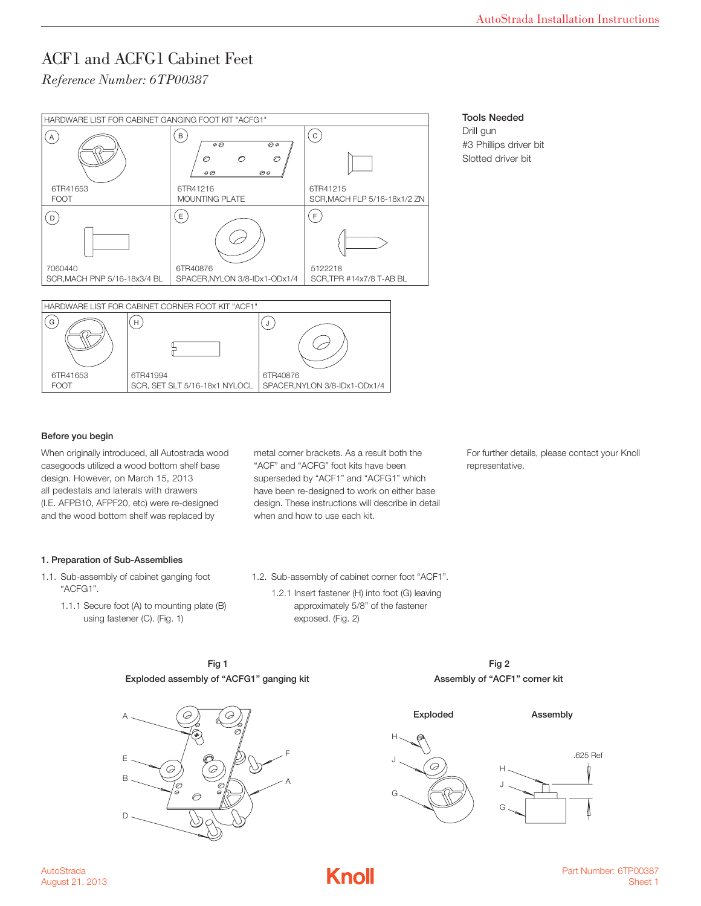*Reference Number: 6TP00387* 



### Tools Needed

Drill gun #3 Phillips driver bit Slotted driver bit

### Before you begin

When originally introduced, all Autostrada wood casegoods utilized a wood bottom shelf base design. However, on March 15, 2013 all pedestals and laterals with drawers (I.E. AFPB10, AFPF20, etc) were re-designed and the wood bottom shelf was replaced by

metal corner brackets. As a result both the "ACF" and "ACFG" foot kits have been superseded by "ACF1" and "ACFG1" which have been re-designed to work on either base design. These instructions will describe in detail when and how to use each kit.

For further details, please contact your Knoll representative.

#### 1. Preparation of Sub-Assemblies

- 1.1. Sub-assembly of cabinet ganging foot "ACFG1".
	- 1.1.1 Secure foot (A) to mounting plate (B) using fastener (C). (Fig. 1)

1.2. Sub-assembly of cabinet corner foot "ACF1". 1.2.1 Insert fastener (H) into foot (G) leaving

approximately 5/8" of the fastener exposed. (Fig. 2)

> Fig 2 Assembly of "ACF1" corner kit



Fig 1 Exploded assembly of "ACFG1" ganging kit

> H J G H J G .625 Ref

Exploded Assembly

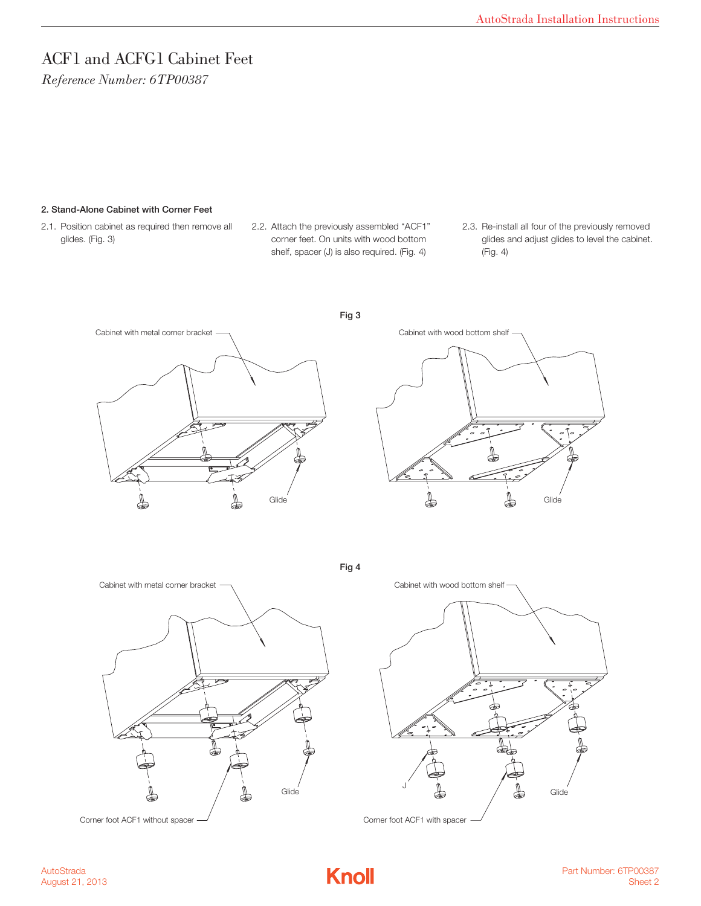*Reference Number: 6TP00387* 

#### 2. Stand-Alone Cabinet with Corner Feet

- 2.1. Position cabinet as required then remove all glides. (Fig. 3)
- 2.2. Attach the previously assembled "ACF1" corner feet. On units with wood bottom shelf, spacer (J) is also required. (Fig. 4)
- 2.3. Re-install all four of the previously removed glides and adjust glides to level the cabinet. (Fig. 4)





Fig 4



Corner foot ACF1 without spacer  $\frac{1}{2}$  corner foot ACF1 with spacer



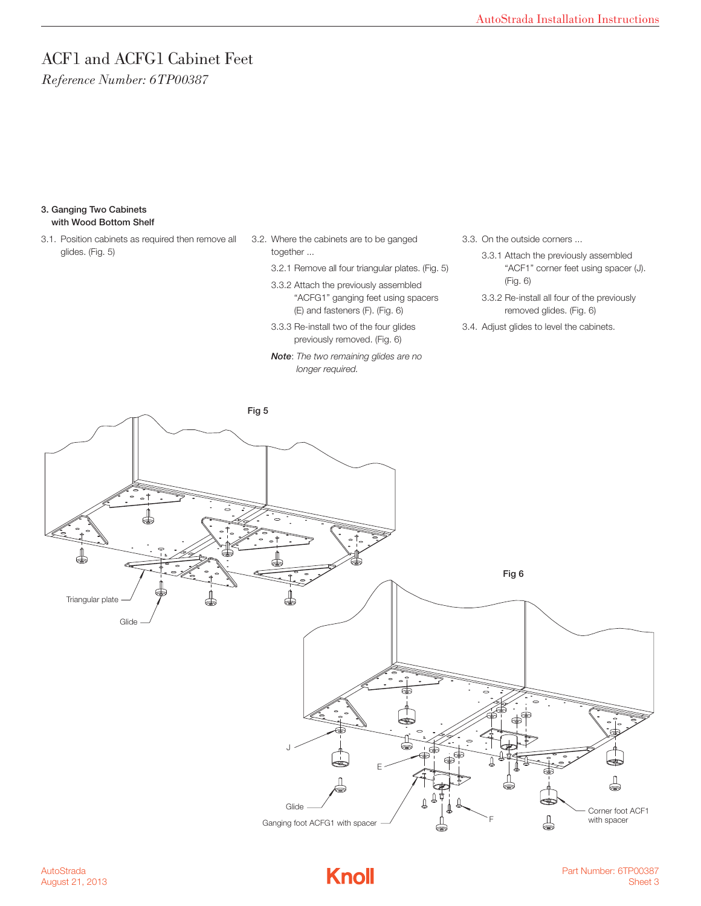*Reference Number: 6TP00387* 

#### 3. Ganging Two Cabinets with Wood Bottom Shelf

- 3.1. Position cabinets as required then remove all glides. (Fig. 5)
- 3.2. Where the cabinets are to be ganged together ...
	- 3.2.1 Remove all four triangular plates. (Fig. 5)
	- 3.3.2 Attach the previously assembled "ACFG1" ganging feet using spacers (E) and fasteners (F). (Fig. 6)
	- 3.3.3 Re-install two of the four glides previously removed. (Fig. 6)
	- *Note*: *The two remaining glides are no longer required.*
- 3.3. On the outside corners ...
	- 3.3.1 Attach the previously assembled "ACF1" corner feet using spacer (J). (Fig. 6)
	- 3.3.2 Re-install all four of the previously removed glides. (Fig. 6)
- 3.4. Adjust glides to level the cabinets.





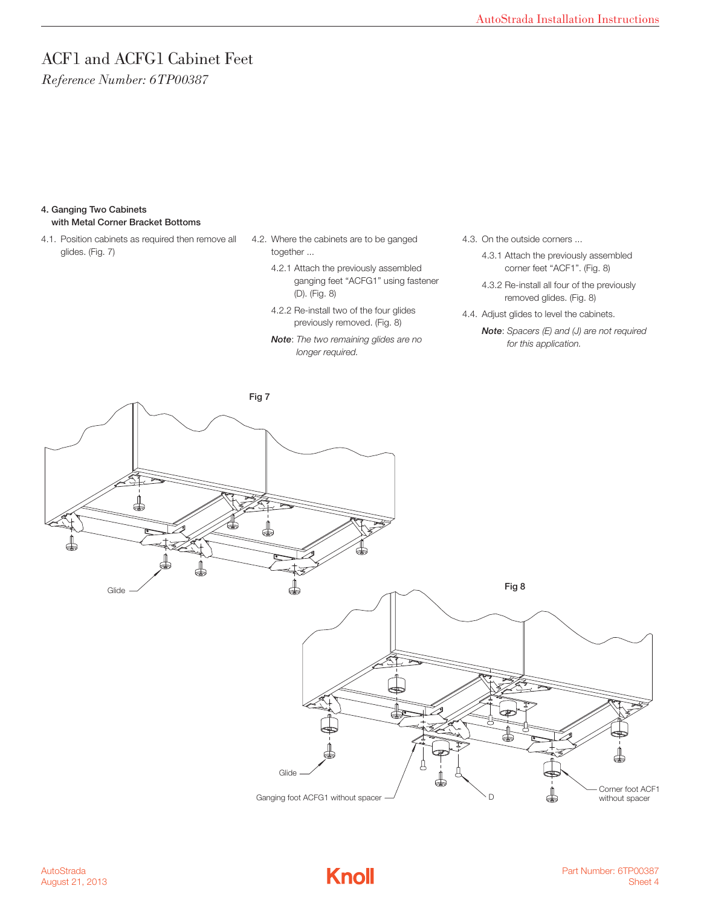*Reference Number: 6TP00387* 

#### 4. Ganging Two Cabinets with Metal Corner Bracket Bottoms

- 4.1. Position cabinets as required then remove all glides. (Fig. 7)
- 4.2. Where the cabinets are to be ganged together ...
	- 4.2.1 Attach the previously assembled ganging feet "ACFG1" using fastener (D). (Fig. 8)
	- 4.2.2 Re-install two of the four glides previously removed. (Fig. 8)
	- *Note*: *The two remaining glides are no longer required.*
- 4.3. On the outside corners ...
	- 4.3.1 Attach the previously assembled corner feet "ACF1". (Fig. 8)
	- 4.3.2 Re-install all four of the previously removed glides. (Fig. 8)
- 4.4. Adjust glides to level the cabinets.

*Note*: *Spacers (E) and (J) are not required for this application.*